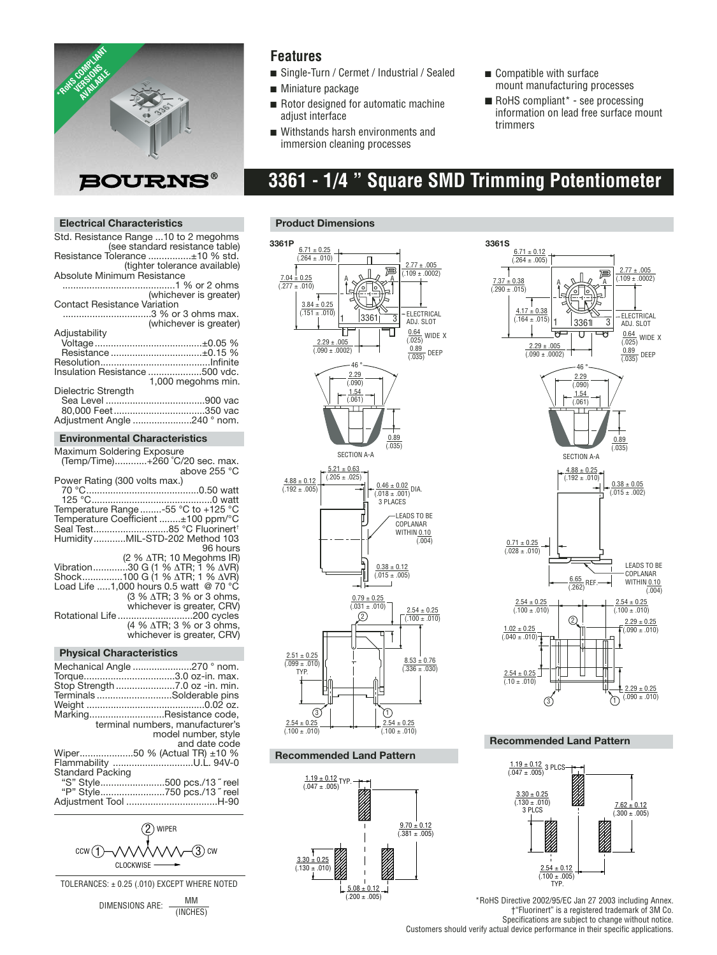

### **Features**

- Single-Turn / Cermet / Industrial / Sealed
- Miniature package
- Rotor designed for automatic machine adjust interface
- Withstands harsh environments and immersion cleaning processes
- Compatible with surface mount manufacturing processes
- $\blacksquare$  RoHS compliant\* see processing information on lead free surface mount trimmers

## **3361 - 1/4 " Square SMD Trimming Potentiometer**

#### **Electrical Characteristics**

| Std. Resistance Range 10 to 2 megohms |                                 |
|---------------------------------------|---------------------------------|
|                                       | (see standard resistance table) |
| Resistance Tolerance ±10 % std.       |                                 |
|                                       | (tighter tolerance available)   |
|                                       |                                 |
| Absolute Minimum Resistance           |                                 |
|                                       |                                 |
|                                       | (whichever is greater)          |
| <b>Contact Resistance Variation</b>   |                                 |
|                                       | 3 % or 3 ohms max.              |
|                                       | (whichever is greater)          |
| Adjustability                         |                                 |
|                                       |                                 |
|                                       |                                 |
|                                       | Resistance ±0.15 %              |
|                                       |                                 |
| Insulation Resistance 500 vdc.        |                                 |
|                                       | 1,000 megohms min.              |
| Dielectric Strength                   |                                 |
|                                       |                                 |
|                                       | 80,000 Feet350 vac              |
|                                       |                                 |
| Adjustment Angle 240 ° nom.           |                                 |

#### **Environmental Characteristics**

| Maximum Soldering Exposure             |
|----------------------------------------|
| (Temp/Time)+260 °C/20 sec. max.        |
| above 255 °C                           |
| Power Rating (300 volts max.)          |
|                                        |
|                                        |
| Temperature Range -55 °C to +125 °C    |
| Temperature Coefficient ±100 ppm/°C    |
| Seal Test85 °C Fluorinert <sup>+</sup> |
| HumidityMIL-STD-202 Method 103         |
| 96 hours                               |
| (2 % ATR; 10 Meqohms IR)               |
| Vibration30 G (1 % ΔTR; 1 % ΔVR)       |
| Shock100 G (1 % ATR; 1 % AVR)          |
| Load Life 1.000 hours 0.5 watt @ 70 °C |
| (3 % ∆TR; 3 % or 3 ohms,               |
| whichever is greater, CRV)             |
| Rotational Life 200 cycles             |
| (4 % ∆TR; 3 % or 3 ohms,               |
| whichever is greater, CRV)             |
|                                        |

#### **Physical Characteristics**

|                         | Mechanical Angle 270 ° nom.<br>Torque3.0 oz-in. max.       |
|-------------------------|------------------------------------------------------------|
|                         | Stop Strength 7.0 oz -in. min.<br>TerminalsSolderable pins |
|                         |                                                            |
|                         | MarkingResistance code,                                    |
|                         | terminal numbers, manufacturer's                           |
|                         | model number, style                                        |
|                         | and date code                                              |
|                         | Wiper50 % (Actual TR) ±10 %                                |
|                         | Flammability U.L. 94V-0                                    |
| <b>Standard Packing</b> |                                                            |
|                         | "S" Style500 pcs./13" reel                                 |
|                         | "P" Style750 pcs./13" reel                                 |
|                         |                                                            |
|                         |                                                            |



TOLERANCES: ± 0.25 (.010) EXCEPT WHERE NOTED

DIMENSIONS ARE:  $\frac{MM}{M}$ (INCHES)

#### **Product Dimensions**



#### **Recommended Land Pattern**





#### **Recommended Land Pattern**



\*RoHS Directive 2002/95/EC Jan 27 2003 including Annex. †"Fluorinert" is a registered trademark of 3M Co. Specifications are subject to change without notice. Customers should verify actual device performance in their specific applications.